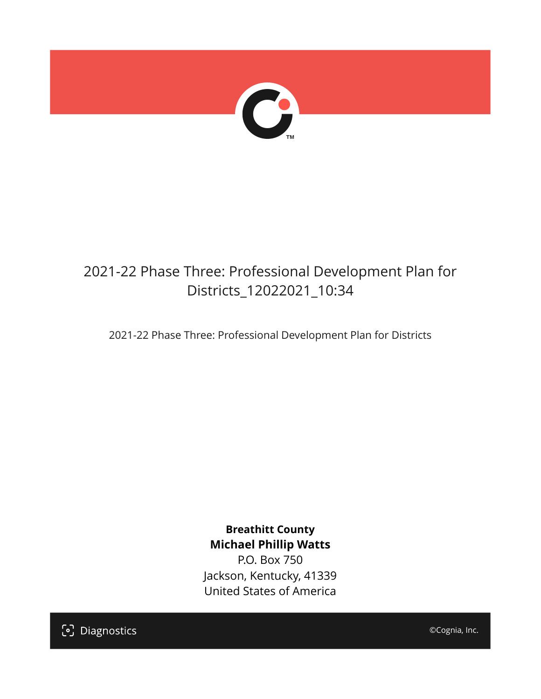

# 2021-22 Phase Three: Professional Development Plan for Districts\_12022021\_10:34

2021-22 Phase Three: Professional Development Plan for Districts

**Breathitt County Michael Phillip Watts**

P.O. Box 750 Jackson, Kentucky, 41339 United States of America

[၁] Diagnostics

©Cognia, Inc.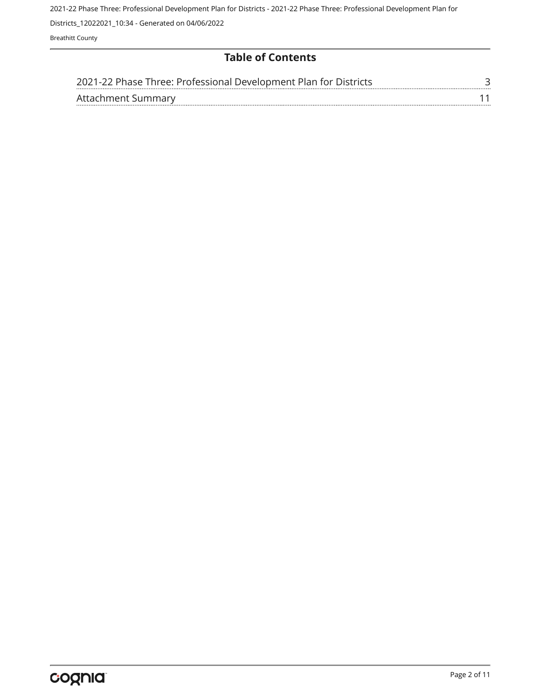Districts\_12022021\_10:34 - Generated on 04/06/2022

Breathitt County

# **Table of Contents**

| 2021-22 Phase Three: Professional Development Plan for Districts |  |
|------------------------------------------------------------------|--|
| Attachment Summary                                               |  |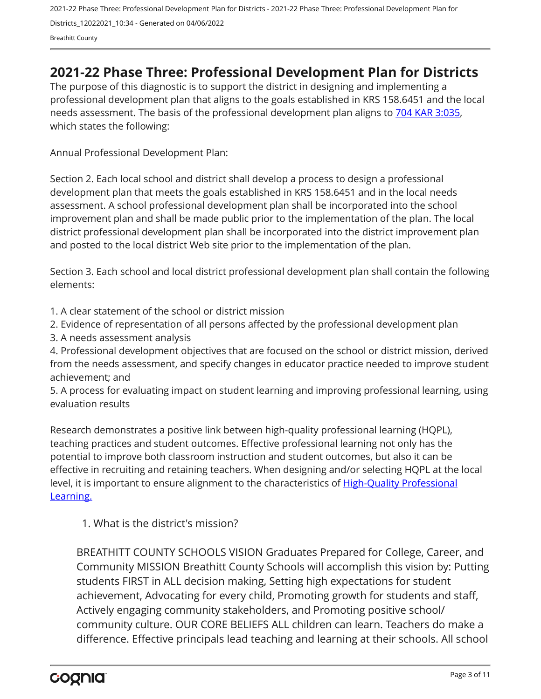2021-22 Phase Three: Professional Development Plan for Districts - 2021-22 Phase Three: Professional Development Plan for Districts\_12022021\_10:34 - Generated on 04/06/2022 Breathitt County

# <span id="page-2-0"></span>**2021-22 Phase Three: Professional Development Plan for Districts**

The purpose of this diagnostic is to support the district in designing and implementing a professional development plan that aligns to the goals established in KRS 158.6451 and the local needs assessment. The basis of the professional development plan aligns to [704 KAR 3:035,](https://apps.legislature.ky.gov/Law/kar/704/003/035.pdf) which states the following:

Annual Professional Development Plan:

Section 2. Each local school and district shall develop a process to design a professional development plan that meets the goals established in KRS 158.6451 and in the local needs assessment. A school professional development plan shall be incorporated into the school improvement plan and shall be made public prior to the implementation of the plan. The local district professional development plan shall be incorporated into the district improvement plan and posted to the local district Web site prior to the implementation of the plan.

Section 3. Each school and local district professional development plan shall contain the following elements:

1. A clear statement of the school or district mission

2. Evidence of representation of all persons affected by the professional development plan

3. A needs assessment analysis

4. Professional development objectives that are focused on the school or district mission, derived from the needs assessment, and specify changes in educator practice needed to improve student achievement; and

5. A process for evaluating impact on student learning and improving professional learning, using evaluation results

Research demonstrates a positive link between high-quality professional learning (HQPL), teaching practices and student outcomes. Effective professional learning not only has the potential to improve both classroom instruction and student outcomes, but also it can be effective in recruiting and retaining teachers. When designing and/or selecting HQPL at the local level, it is important to ensure alignment to the characteristics of [High-Quality Professional](https://education.ky.gov/curriculum/standards/kyacadstand/Documents/Characteristics_of_HQPL.pdf) [Learning.](https://education.ky.gov/curriculum/standards/kyacadstand/Documents/Characteristics_of_HQPL.pdf)

1. What is the district's mission?

BREATHITT COUNTY SCHOOLS VISION Graduates Prepared for College, Career, and Community MISSION Breathitt County Schools will accomplish this vision by: Putting students FIRST in ALL decision making, Setting high expectations for student achievement, Advocating for every child, Promoting growth for students and staff, Actively engaging community stakeholders, and Promoting positive school/ community culture. OUR CORE BELIEFS ALL children can learn. Teachers do make a difference. Effective principals lead teaching and learning at their schools. All school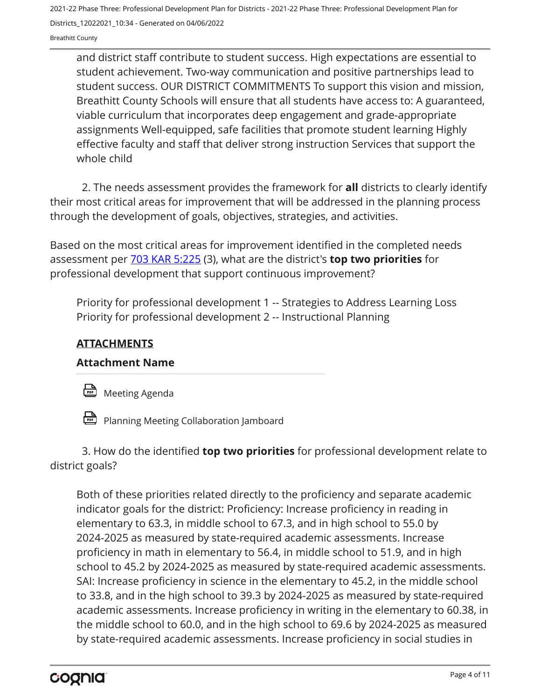Breathitt County

and district staff contribute to student success. High expectations are essential to student achievement. Two-way communication and positive partnerships lead to student success. OUR DISTRICT COMMITMENTS To support this vision and mission, Breathitt County Schools will ensure that all students have access to: A guaranteed, viable curriculum that incorporates deep engagement and grade-appropriate assignments Well-equipped, safe facilities that promote student learning Highly effective faculty and staff that deliver strong instruction Services that support the whole child

2. The needs assessment provides the framework for **all** districts to clearly identify their most critical areas for improvement that will be addressed in the planning process through the development of goals, objectives, strategies, and activities.

Based on the most critical areas for improvement identified in the completed needs assessment per [703 KAR 5:225](https://apps.legislature.ky.gov/law/kar/703/005/225.pdf) (3), what are the district's **top two priorities** for professional development that support continuous improvement?

Priority for professional development 1 -- Strategies to Address Learning Loss Priority for professional development 2 -- Instructional Planning

# **ATTACHMENTS**

# **Attachment Name**

**Meeting Agenda** 



Planning Meeting Collaboration Jamboard

3. How do the identified **top two priorities** for professional development relate to district goals?

Both of these priorities related directly to the proficiency and separate academic indicator goals for the district: Proficiency: Increase proficiency in reading in elementary to 63.3, in middle school to 67.3, and in high school to 55.0 by 2024-2025 as measured by state-required academic assessments. Increase proficiency in math in elementary to 56.4, in middle school to 51.9, and in high school to 45.2 by 2024-2025 as measured by state-required academic assessments. SAI: Increase proficiency in science in the elementary to 45.2, in the middle school to 33.8, and in the high school to 39.3 by 2024-2025 as measured by state-required academic assessments. Increase proficiency in writing in the elementary to 60.38, in the middle school to 60.0, and in the high school to 69.6 by 2024-2025 as measured by state-required academic assessments. Increase proficiency in social studies in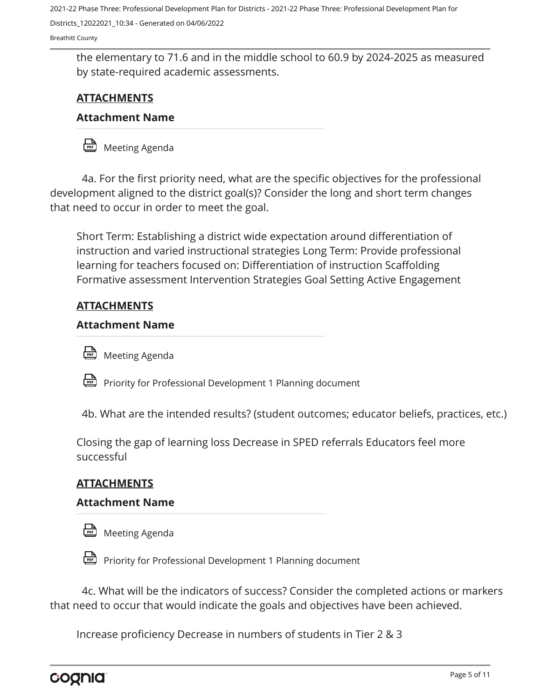Districts\_12022021\_10:34 - Generated on 04/06/2022

Breathitt County

the elementary to 71.6 and in the middle school to 60.9 by 2024-2025 as measured by state-required academic assessments.

# **ATTACHMENTS**

#### **Attachment Name**

Meeting Agenda

4a. For the first priority need, what are the specific objectives for the professional development aligned to the district goal(s)? Consider the long and short term changes that need to occur in order to meet the goal.

Short Term: Establishing a district wide expectation around differentiation of instruction and varied instructional strategies Long Term: Provide professional learning for teachers focused on: Differentiation of instruction Scaffolding Formative assessment Intervention Strategies Goal Setting Active Engagement

#### **ATTACHMENTS**

#### **Attachment Name**



Priority for Professional Development 1 Planning document

4b. What are the intended results? (student outcomes; educator beliefs, practices, etc.)

Closing the gap of learning loss Decrease in SPED referrals Educators feel more successful

# **ATTACHMENTS**

#### **Attachment Name**



Priority for Professional Development 1 Planning document

4c. What will be the indicators of success? Consider the completed actions or markers that need to occur that would indicate the goals and objectives have been achieved.

Increase proficiency Decrease in numbers of students in Tier 2 & 3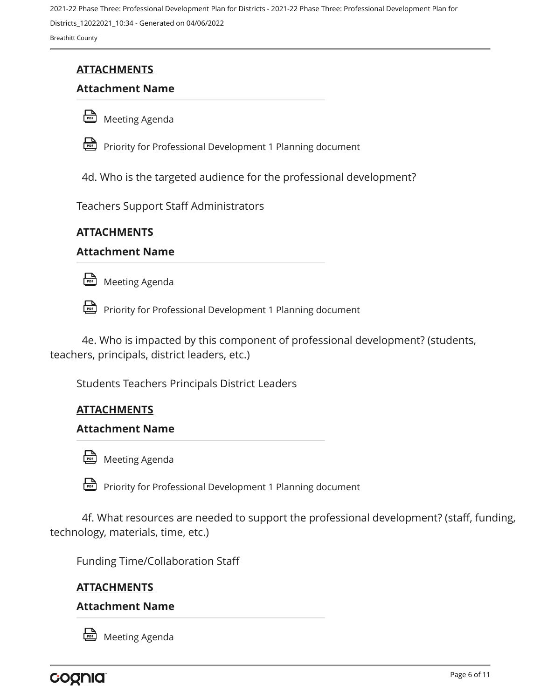2021-22 Phase Three: Professional Development Plan for Districts - 2021-22 Phase Three: Professional Development Plan for Districts\_12022021\_10:34 - Generated on 04/06/2022 Breathitt County

# **ATTACHMENTS**

# **Attachment Name**





Priority for Professional Development 1 Planning document

4d. Who is the targeted audience for the professional development?

Teachers Support Staff Administrators

# **ATTACHMENTS**

#### **Attachment Name**

**Meeting Agenda** 

Priority for Professional Development 1 Planning document

4e. Who is impacted by this component of professional development? (students, teachers, principals, district leaders, etc.)

Students Teachers Principals District Leaders

# **ATTACHMENTS**

#### **Attachment Name**



Priority for Professional Development 1 Planning document

4f. What resources are needed to support the professional development? (staff, funding, technology, materials, time, etc.)

Funding Time/Collaboration Staff

# **ATTACHMENTS**

#### **Attachment Name**



Meeting Agenda

cognia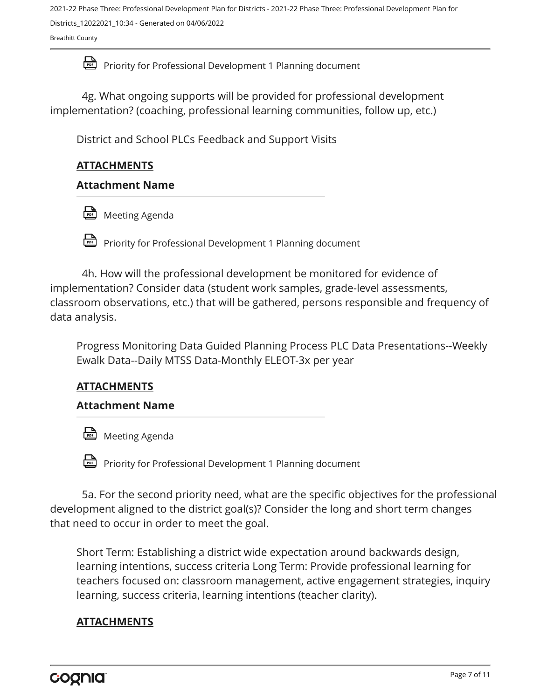2021-22 Phase Three: Professional Development Plan for Districts - 2021-22 Phase Three: Professional Development Plan for Districts\_12022021\_10:34 - Generated on 04/06/2022

Breathitt County

Priority for Professional Development 1 Planning document

4g. What ongoing supports will be provided for professional development implementation? (coaching, professional learning communities, follow up, etc.)

District and School PLCs Feedback and Support Visits

# **ATTACHMENTS**

# **Attachment Name**

**Meeting Agenda** 

Priority for Professional Development 1 Planning document

4h. How will the professional development be monitored for evidence of implementation? Consider data (student work samples, grade-level assessments, classroom observations, etc.) that will be gathered, persons responsible and frequency of data analysis.

Progress Monitoring Data Guided Planning Process PLC Data Presentations--Weekly Ewalk Data--Daily MTSS Data-Monthly ELEOT-3x per year

# **ATTACHMENTS**

# **Attachment Name**

**Meeting Agenda** 

**Priority for Professional Development 1 Planning document** 

5a. For the second priority need, what are the specific objectives for the professional development aligned to the district goal(s)? Consider the long and short term changes that need to occur in order to meet the goal.

Short Term: Establishing a district wide expectation around backwards design, learning intentions, success criteria Long Term: Provide professional learning for teachers focused on: classroom management, active engagement strategies, inquiry learning, success criteria, learning intentions (teacher clarity).

# **ATTACHMENTS**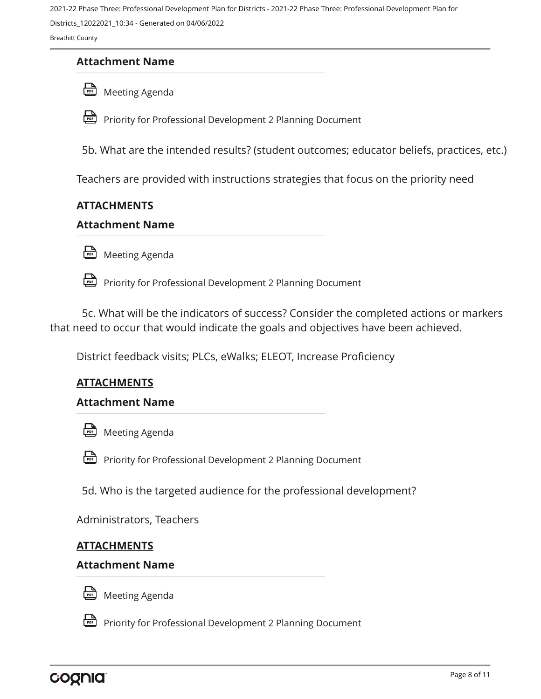Districts\_12022021\_10:34 - Generated on 04/06/2022

Breathitt County

# **Attachment Name**





**Priority for Professional Development 2 Planning Document** 

5b. What are the intended results? (student outcomes; educator beliefs, practices, etc.)

Teachers are provided with instructions strategies that focus on the priority need

# **ATTACHMENTS**

#### **Attachment Name**

Meeting Agenda

Priority for Professional Development 2 Planning Document

5c. What will be the indicators of success? Consider the completed actions or markers that need to occur that would indicate the goals and objectives have been achieved.

District feedback visits; PLCs, eWalks; ELEOT, Increase Proficiency

# **ATTACHMENTS**

#### **Attachment Name**



**Priority for Professional Development 2 Planning Document** 

5d. Who is the targeted audience for the professional development?

Administrators, Teachers

#### **ATTACHMENTS**

#### **Attachment Name**



**Meeting Agenda** 

Priority for Professional Development 2 Planning Document

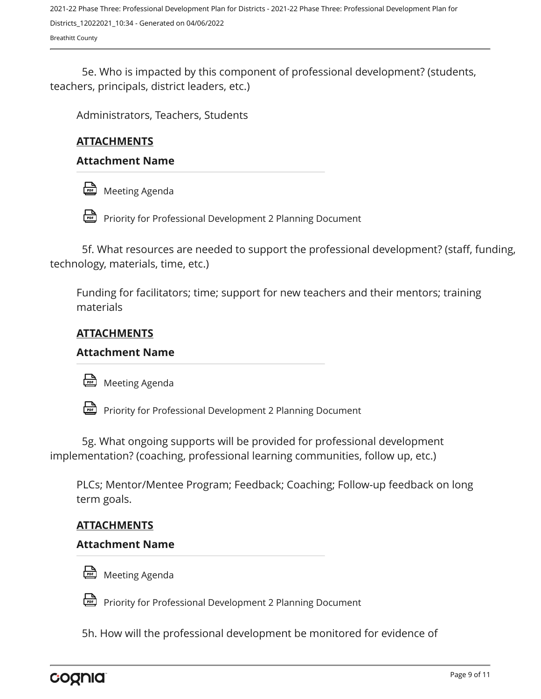2021-22 Phase Three: Professional Development Plan for Districts - 2021-22 Phase Three: Professional Development Plan for Districts\_12022021\_10:34 - Generated on 04/06/2022 Breathitt County

5e. Who is impacted by this component of professional development? (students, teachers, principals, district leaders, etc.)

Administrators, Teachers, Students

# **ATTACHMENTS**

#### **Attachment Name**



Priority for Professional Development 2 Planning Document

5f. What resources are needed to support the professional development? (staff, funding, technology, materials, time, etc.)

Funding for facilitators; time; support for new teachers and their mentors; training materials

#### **ATTACHMENTS**

#### **Attachment Name**



Priority for Professional Development 2 Planning Document

5g. What ongoing supports will be provided for professional development implementation? (coaching, professional learning communities, follow up, etc.)

PLCs; Mentor/Mentee Program; Feedback; Coaching; Follow-up feedback on long term goals.

#### **ATTACHMENTS**

#### **Attachment Name**



Meeting Agenda

Priority for Professional Development 2 Planning Document

5h. How will the professional development be monitored for evidence of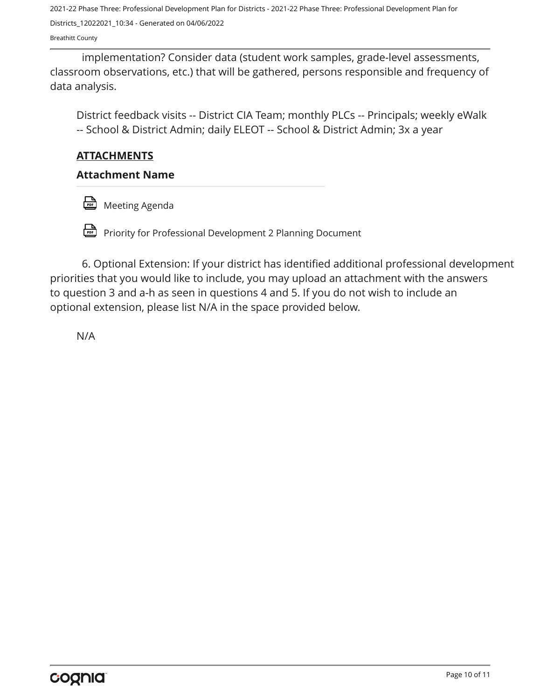2021-22 Phase Three: Professional Development Plan for Districts - 2021-22 Phase Three: Professional Development Plan for Districts\_12022021\_10:34 - Generated on 04/06/2022

Breathitt County

implementation? Consider data (student work samples, grade-level assessments, classroom observations, etc.) that will be gathered, persons responsible and frequency of data analysis.

District feedback visits -- District CIA Team; monthly PLCs -- Principals; weekly eWalk -- School & District Admin; daily ELEOT -- School & District Admin; 3x a year

# **ATTACHMENTS**

# **Attachment Name**

**Meeting Agenda** 

Priority for Professional Development 2 Planning Document

6. Optional Extension: If your district has identified additional professional development priorities that you would like to include, you may upload an attachment with the answers to question 3 and a-h as seen in questions 4 and 5. If you do not wish to include an optional extension, please list N/A in the space provided below.

N/A